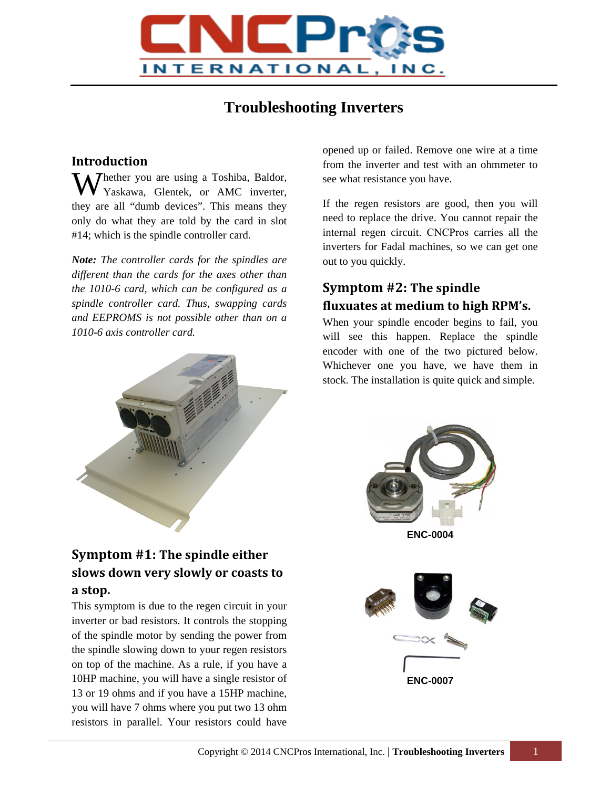

# **Troubleshooting Inverters**

#### **Introduction**

Whether you are using a Toshiba, Baldor, Yaskawa, Glentek, or AMC inverter, Yaskawa, Glentek, or AMC inverter, they are all "dumb devices". This means they only do what they are told by the card in slot #14; which is the spindle controller card.

*Note: The controller cards for the spindles are different than the cards for the axes other than the 1010-6 card, which can be configured as a spindle controller card. Thus, swapping cards and EEPROMS is not possible other than on a 1010-6 axis controller card.* 



## **Symptom #1: The spindle either slows down very slowly or coasts to a stop.**

This symptom is due to the regen circuit in your inverter or bad resistors. It controls the stopping of the spindle motor by sending the power from the spindle slowing down to your regen resistors on top of the machine. As a rule, if you have a 10HP machine, you will have a single resistor of 13 or 19 ohms and if you have a 15HP machine, you will have 7 ohms where you put two 13 ohm resistors in parallel. Your resistors could have opened up or failed. Remove one wire at a time from the inverter and test with an ohmmeter to see what resistance you have.

If the regen resistors are good, then you will need to replace the drive. You cannot repair the internal regen circuit. CNCPros carries all the inverters for Fadal machines, so we can get one out to you quickly.

#### **Symptom #2: The spindle fluxuates at medium to high RPM's.**

When your spindle encoder begins to fail, you will see this happen. Replace the spindle encoder with one of the two pictured below. Whichever one you have, we have them in stock. The installation is quite quick and simple.



**ENC-0004**